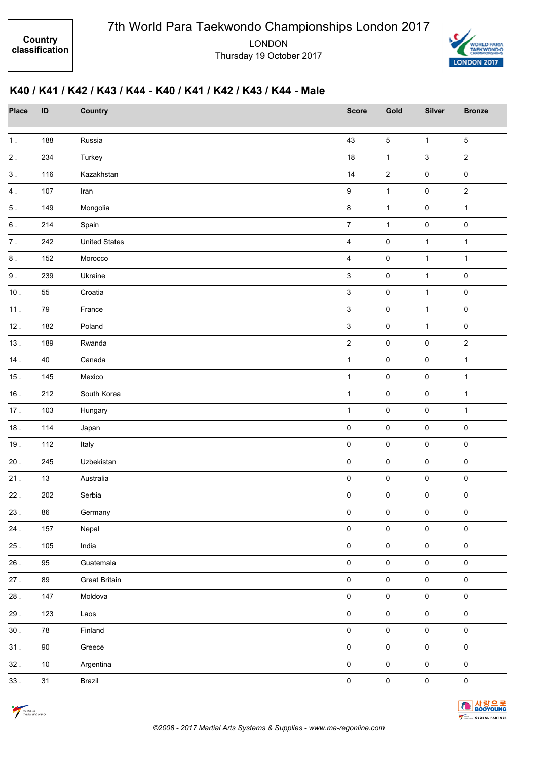

## **K40 / K41 / K42 / K43 / K44 - K40 / K41 / K42 / K43 / K44 - Male**

| Place     | ID     | Country              | <b>Score</b>            | Gold         | <b>Silver</b>       | <b>Bronze</b>       |
|-----------|--------|----------------------|-------------------------|--------------|---------------------|---------------------|
| 1.        | 188    | Russia               | 43                      | $\,$ 5 $\,$  | $\mathbf{1}$        | $\sqrt{5}$          |
| $2$ .     | 234    | Turkey               | 18                      | $\mathbf{1}$ | $\mathfrak{S}$      | $\sqrt{2}$          |
| $3$ .     | 116    | Kazakhstan           | $14$                    | $\sqrt{2}$   | $\pmb{0}$           | $\pmb{0}$           |
| 4.        | 107    | Iran                 | $\boldsymbol{9}$        | $\mathbf{1}$ | 0                   | $\overline{2}$      |
| $5$ .     | 149    | Mongolia             | $\bf 8$                 | $\mathbf{1}$ | 0                   | $\mathbf{1}$        |
| $6\,$ .   | 214    | Spain                | $\overline{7}$          | $\mathbf{1}$ | $\mathsf{O}\xspace$ | $\pmb{0}$           |
| $\bf 7$ . | 242    | <b>United States</b> | $\overline{\mathbf{4}}$ | $\pmb{0}$    | $\mathbf{1}$        | $\mathbf{1}$        |
| $\bf 8$ . | 152    | Morocco              | $\overline{4}$          | $\pmb{0}$    | $\mathbf{1}$        | $\mathbf{1}$        |
| $9$ .     | 239    | Ukraine              | $\mathsf 3$             | $\pmb{0}$    | $\mathbf{1}$        | $\pmb{0}$           |
| $10.$     | 55     | Croatia              | $\mathsf 3$             | $\pmb{0}$    | $\mathbf{1}$        | $\pmb{0}$           |
| 11.       | 79     | France               | $\mathbf{3}$            | $\pmb{0}$    | $\mathbf{1}$        | $\pmb{0}$           |
| 12.       | 182    | Poland               | $\mathbf{3}$            | $\pmb{0}$    | $\mathbf{1}$        | $\pmb{0}$           |
| 13.       | 189    | Rwanda               | $\overline{2}$          | $\pmb{0}$    | 0                   | $\sqrt{2}$          |
| 14.       | 40     | Canada               | $\mathbf{1}$            | $\pmb{0}$    | $\mathsf{O}\xspace$ | $\mathbf{1}$        |
| 15.       | 145    | Mexico               | $\mathbf{1}$            | $\pmb{0}$    | $\mathsf 0$         | $\mathbf{1}$        |
| 16.       | 212    | South Korea          | $\mathbf{1}$            | $\pmb{0}$    | $\pmb{0}$           | $\mathbf{1}$        |
| 17.       | 103    | Hungary              | $\mathbf 1$             | $\pmb{0}$    | 0                   | $\mathbf{1}$        |
| $18.$     | 114    | Japan                | $\pmb{0}$               | $\mathsf 0$  | 0                   | $\pmb{0}$           |
| 19.       | 112    | Italy                | $\pmb{0}$               | $\pmb{0}$    | $\mathsf 0$         | $\pmb{0}$           |
| $20$ .    | 245    | Uzbekistan           | $\pmb{0}$               | $\pmb{0}$    | $\pmb{0}$           | $\pmb{0}$           |
| 21.       | $13$   | Australia            | $\pmb{0}$               | $\pmb{0}$    | 0                   | $\pmb{0}$           |
| $22$ .    | 202    | Serbia               | $\pmb{0}$               | $\mathsf 0$  | 0                   | $\mathbf 0$         |
| $23$ .    | 86     | Germany              | 0                       | $\pmb{0}$    | $\pmb{0}$           | 0                   |
| $24$ .    | 157    | Nepal                | $\mathsf 0$             | $\pmb{0}$    | $\pmb{0}$           | $\mathbf 0$         |
| 25.       | 105    | India                | $\mathsf 0$             | $\pmb{0}$    | $\pmb{0}$           | $\mathsf 0$         |
| 26.       | $95\,$ | Guatemala            | $\mathsf 0$             | $\pmb{0}$    | $\pmb{0}$           | $\mathsf 0$         |
| 27.       | 89     | <b>Great Britain</b> | $\mathsf{O}\xspace$     | $\pmb{0}$    | $\mathsf{O}\xspace$ | $\mathsf{O}\xspace$ |
| 28.       | 147    | Moldova              | $\mathsf 0$             | $\pmb{0}$    | $\pmb{0}$           | $\mathsf 0$         |
| 29.       | 123    | Laos                 | $\mathsf{O}\xspace$     | $\pmb{0}$    | $\pmb{0}$           | $\mathsf{O}\xspace$ |
| 30.       | 78     | Finland              | $\mathsf{O}\xspace$     | $\mathsf 0$  | $\mathbf 0$         | $\mathbf 0$         |
| 31.       | $90\,$ | Greece               | $\mathsf{O}\xspace$     | $\pmb{0}$    | $\mathsf{O}\xspace$ | $\mathsf{O}\xspace$ |
| 32.       | $10\,$ | Argentina            | $\mathsf 0$             | $\mathsf 0$  | $\mathsf{O}\xspace$ | $\mathbf 0$         |
| 33.       | 31     | Brazil               | $\mathbf 0$             | $\pmb{0}$    | $\pmb{0}$           | $\mathbf 0$         |